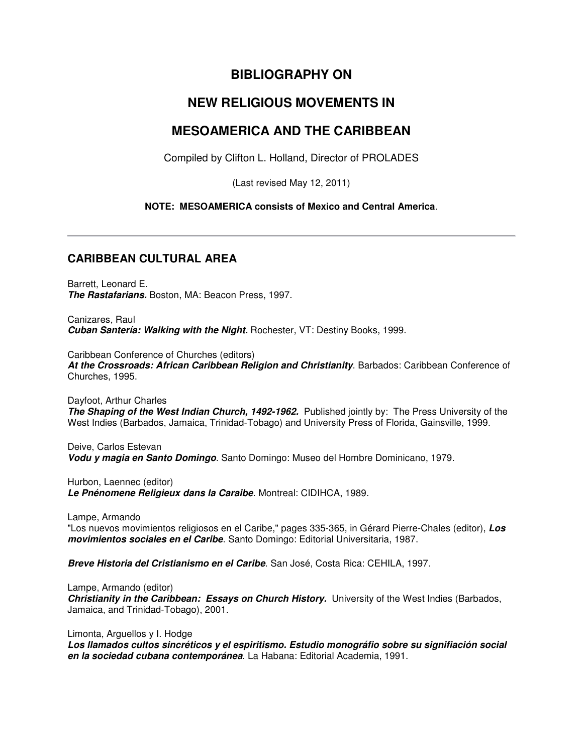# **BIBLIOGRAPHY ON**

# **NEW RELIGIOUS MOVEMENTS IN**

# **MESOAMERICA AND THE CARIBBEAN**

Compiled by Clifton L. Holland, Director of PROLADES

(Last revised May 12, 2011)

## **NOTE: MESOAMERICA consists of Mexico and Central America**.

# **CARIBBEAN CULTURAL AREA**

Barrett, Leonard E. **The Rastafarians.** Boston, MA: Beacon Press, 1997.

Canizares, Raul **Cuban Santería: Walking with the Night.** Rochester, VT: Destiny Books, 1999.

Caribbean Conference of Churches (editors)

**At the Crossroads: African Caribbean Religion and Christianity**. Barbados: Caribbean Conference of Churches, 1995.

Dayfoot, Arthur Charles **The Shaping of the West Indian Church, 1492-1962.** Published jointly by: The Press University of the West Indies (Barbados, Jamaica, Trinidad-Tobago) and University Press of Florida, Gainsville, 1999.

Deive, Carlos Estevan **Vodu y magia en Santo Domingo**. Santo Domingo: Museo del Hombre Dominicano, 1979.

Hurbon, Laennec (editor) **Le Pnénomene Religieux dans la Caraibe**. Montreal: CIDIHCA, 1989.

Lampe, Armando

"Los nuevos movimientos religiosos en el Caribe," pages 335-365, in Gérard Pierre-Chales (editor), **Los movimientos sociales en el Caribe**. Santo Domingo: Editorial Universitaria, 1987.

**Breve Historia del Cristianismo en el Caribe**. San José, Costa Rica: CEHILA, 1997.

Lampe, Armando (editor) **Christianity in the Caribbean: Essays on Church History.** University of the West Indies (Barbados, Jamaica, and Trinidad-Tobago), 2001.

Limonta, Arguellos y I. Hodge

**Los llamados cultos sincréticos y el espiritismo. Estudio monográfio sobre su signifiación social en la sociedad cubana contemporánea**. La Habana: Editorial Academia, 1991.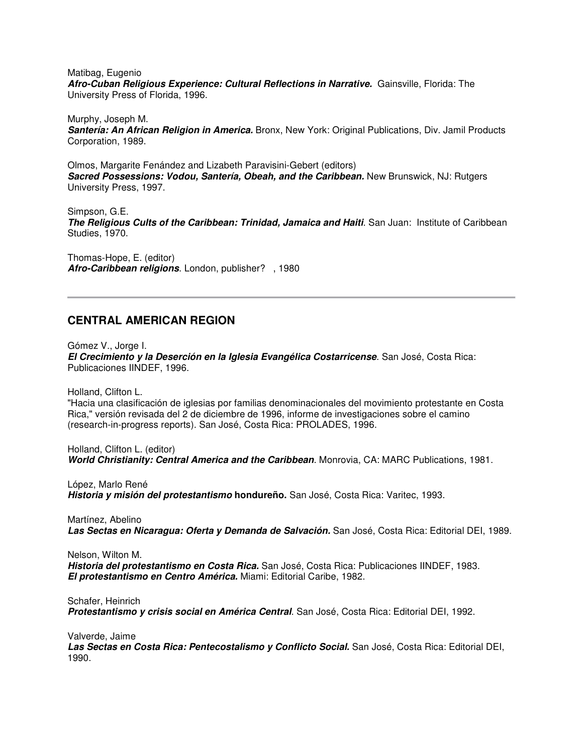Matibag, Eugenio **Afro-Cuban Religious Experience: Cultural Reflections in Narrative.** Gainsville, Florida: The University Press of Florida, 1996.

Murphy, Joseph M. **Santería: An African Religion in America.** Bronx, New York: Original Publications, Div. Jamil Products Corporation, 1989.

Olmos, Margarite Fenández and Lizabeth Paravisini-Gebert (editors) **Sacred Possessions: Vodou, Santería, Obeah, and the Caribbean.** New Brunswick, NJ: Rutgers University Press, 1997.

Simpson, G.E. **The Religious Cults of the Caribbean: Trinidad, Jamaica and Haiti**. San Juan: Institute of Caribbean Studies, 1970.

Thomas-Hope, E. (editor) **Afro-Caribbean religions**. London, publisher? , 1980

## **CENTRAL AMERICAN REGION**

Gómez V., Jorge I. **El Crecimiento y la Deserción en la Iglesia Evangélica Costarricense**. San José, Costa Rica: Publicaciones IINDEF, 1996.

Holland, Clifton L.

"Hacia una clasificación de iglesias por familias denominacionales del movimiento protestante en Costa Rica," versión revisada del 2 de diciembre de 1996, informe de investigaciones sobre el camino (research-in-progress reports). San José, Costa Rica: PROLADES, 1996.

Holland, Clifton L. (editor) **World Christianity: Central America and the Caribbean**. Monrovia, CA: MARC Publications, 1981.

López, Marlo René **Historia y misión del protestantismo hondureño.** San José, Costa Rica: Varitec, 1993.

Martínez, Abelino **Las Sectas en Nicaragua: Oferta y Demanda de Salvación.** San José, Costa Rica: Editorial DEI, 1989.

Nelson, Wilton M. **Historia del protestantismo en Costa Rica.** San José, Costa Rica: Publicaciones IINDEF, 1983. **El protestantismo en Centro América.** Miami: Editorial Caribe, 1982.

Schafer, Heinrich **Protestantismo y crisis social en América Central**. San José, Costa Rica: Editorial DEI, 1992.

Valverde, Jaime

**Las Sectas en Costa Rica: Pentecostalismo y Conflicto Social.** San José, Costa Rica: Editorial DEI, 1990.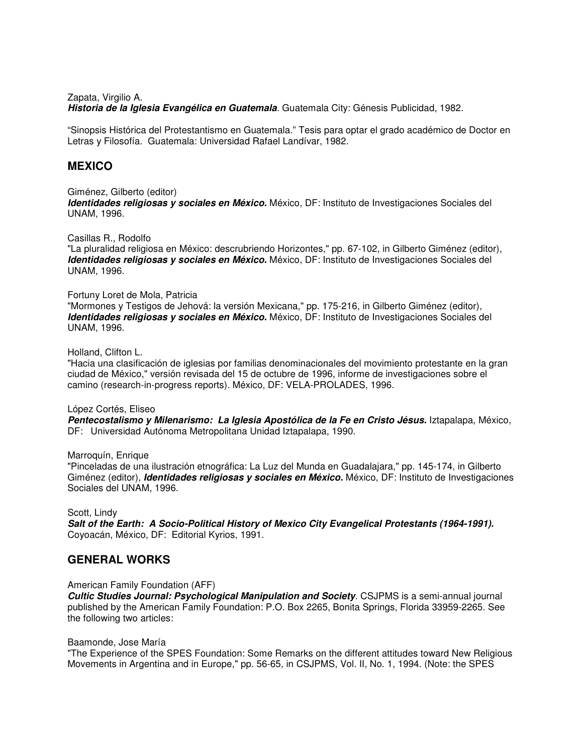Zapata, Virgilio A.

**Historia de la Iglesia Evangélica en Guatemala**. Guatemala City: Génesis Publicidad, 1982.

"Sinopsis Histórica del Protestantismo en Guatemala." Tesis para optar el grado académico de Doctor en Letras y Filosofía. Guatemala: Universidad Rafael Landívar, 1982.

## **MEXICO**

### Giménez, Gilberto (editor)

**Identidades religiosas y sociales en México.** México, DF: Instituto de Investigaciones Sociales del UNAM, 1996.

### Casillas R., Rodolfo

"La pluralidad religiosa en México: descrubriendo Horizontes," pp. 67-102, in Gilberto Giménez (editor), **Identidades religiosas y sociales en México.** México, DF: Instituto de Investigaciones Sociales del UNAM, 1996.

### Fortuny Loret de Mola, Patricia

"Mormones y Testigos de Jehová: la versión Mexicana," pp. 175-216, in Gilberto Giménez (editor), **Identidades religiosas y sociales en México.** México, DF: Instituto de Investigaciones Sociales del UNAM, 1996.

## Holland, Clifton L.

"Hacia una clasificación de iglesias por familias denominacionales del movimiento protestante en la gran ciudad de México," versión revisada del 15 de octubre de 1996, informe de investigaciones sobre el camino (research-in-progress reports). México, DF: VELA-PROLADES, 1996.

#### López Cortés, Eliseo

**Pentecostalismo y Milenarismo: La Iglesia Apostólica de la Fe en Cristo Jésus.** Iztapalapa, México, DF: Universidad Autónoma Metropolitana Unidad Iztapalapa, 1990.

#### Marroquín, Enrique

"Pinceladas de una ilustración etnográfica: La Luz del Munda en Guadalajara," pp. 145-174, in Gilberto Giménez (editor), **Identidades religiosas y sociales en México.** México, DF: Instituto de Investigaciones Sociales del UNAM, 1996.

### Scott, Lindy

**Salt of the Earth: A Socio-Political History of Mexico City Evangelical Protestants (1964-1991).**  Coyoacán, México, DF: Editorial Kyrios, 1991.

## **GENERAL WORKS**

#### American Family Foundation (AFF)

**Cultic Studies Journal: Psychological Manipulation and Society**. CSJPMS is a semi-annual journal published by the American Family Foundation: P.O. Box 2265, Bonita Springs, Florida 33959-2265. See the following two articles:

#### Baamonde, Jose María

"The Experience of the SPES Foundation: Some Remarks on the different attitudes toward New Religious Movements in Argentina and in Europe," pp. 56-65, in CSJPMS, Vol. II, No. 1, 1994. (Note: the SPES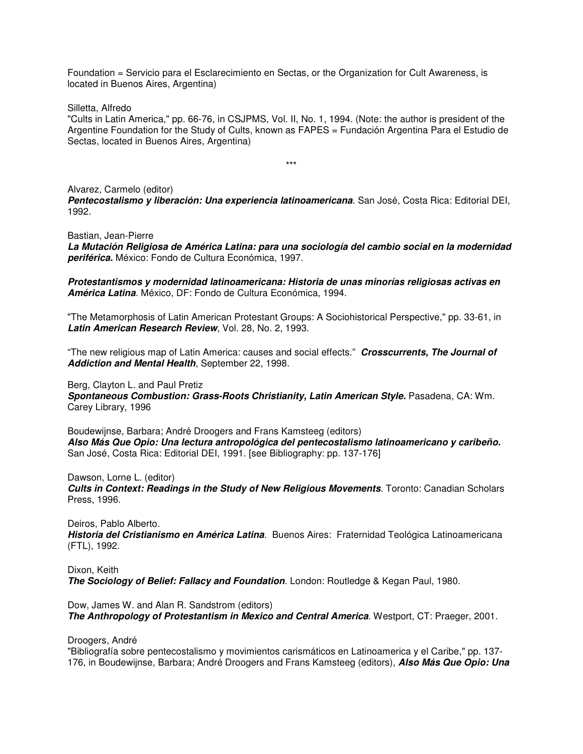Foundation = Servicio para el Esclarecimiento en Sectas, or the Organization for Cult Awareness, is located in Buenos Aires, Argentina)

Silletta, Alfredo

"Cults in Latin America," pp. 66-76, in CSJPMS, Vol. II, No. 1, 1994. (Note: the author is president of the Argentine Foundation for the Study of Cults, known as FAPES = Fundación Argentina Para el Estudio de Sectas, located in Buenos Aires, Argentina)

\*\*\*

Alvarez, Carmelo (editor) **Pentecostalismo y liberación: Una experiencia latinoamericana**. San José, Costa Rica: Editorial DEI, 1992.

Bastian, Jean-Pierre

**La Mutación Religiosa de América Latina: para una sociología del cambio social en la modernidad periférica.** México: Fondo de Cultura Económica, 1997.

**Protestantismos y modernidad latinoamericana: Historia de unas minorías religiosas activas en América Latina**. México, DF: Fondo de Cultura Económica, 1994.

"The Metamorphosis of Latin American Protestant Groups: A Sociohistorical Perspective," pp. 33-61, in **Latin American Research Review**, Vol. 28, No. 2, 1993.

"The new religious map of Latin America: causes and social effects." **Crosscurrents, The Journal of Addiction and Mental Health**, September 22, 1998.

Berg, Clayton L. and Paul Pretiz

**Spontaneous Combustion: Grass-Roots Christianity, Latin American Style.** Pasadena, CA: Wm. Carey Library, 1996

Boudewijnse, Barbara; André Droogers and Frans Kamsteeg (editors) **Also Más Que Opio: Una lectura antropológica del pentecostalismo latinoamericano y caribeño.** San José, Costa Rica: Editorial DEI, 1991. [see Bibliography: pp. 137-176]

Dawson, Lorne L. (editor)

**Cults in Context: Readings in the Study of New Religious Movements**. Toronto: Canadian Scholars Press, 1996.

Deiros, Pablo Alberto.

**Historia del Cristianismo en América Latina**. Buenos Aires: Fraternidad Teológica Latinoamericana (FTL), 1992.

Dixon, Keith **The Sociology of Belief: Fallacy and Foundation**. London: Routledge & Kegan Paul, 1980.

Dow, James W. and Alan R. Sandstrom (editors) **The Anthropology of Protestantism in Mexico and Central America**. Westport, CT: Praeger, 2001.

Droogers, André

"Bibliografía sobre pentecostalismo y movimientos carismáticos en Latinoamerica y el Caribe," pp. 137- 176, in Boudewijnse, Barbara; André Droogers and Frans Kamsteeg (editors), **Also Más Que Opio: Una**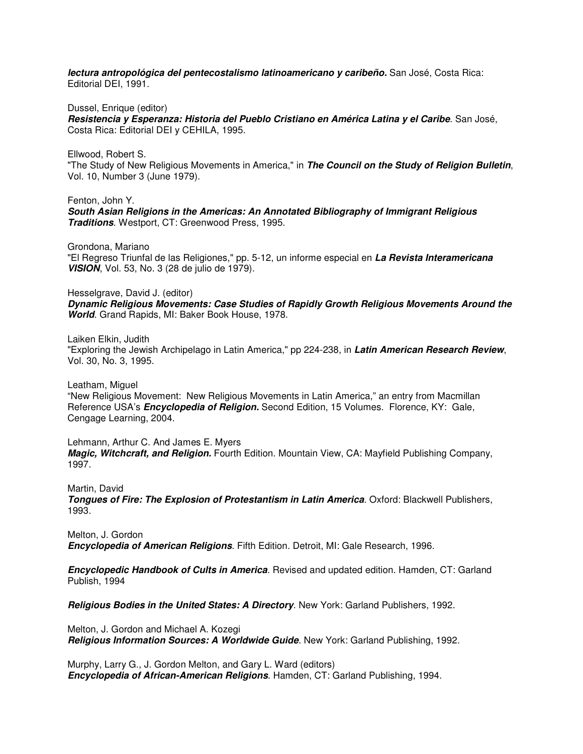**lectura antropológica del pentecostalismo latinoamericano y caribeño.** San José, Costa Rica: Editorial DEI, 1991.

Dussel, Enrique (editor)

**Resistencia y Esperanza: Historia del Pueblo Cristiano en América Latina y el Caribe**. San José, Costa Rica: Editorial DEI y CEHILA, 1995.

Ellwood, Robert S. "The Study of New Religious Movements in America," in **The Council on the Study of Religion Bulletin**, Vol. 10, Number 3 (June 1979).

Fenton, John Y. **South Asian Religions in the Americas: An Annotated Bibliography of Immigrant Religious Traditions**. Westport, CT: Greenwood Press, 1995.

Grondona, Mariano "El Regreso Triunfal de las Religiones," pp. 5-12, un informe especial en **La Revista Interamericana VISION**, Vol. 53, No. 3 (28 de julio de 1979).

Hesselgrave, David J. (editor) **Dynamic Religious Movements: Case Studies of Rapidly Growth Religious Movements Around the World**. Grand Rapids, MI: Baker Book House, 1978.

Laiken Elkin, Judith

"Exploring the Jewish Archipelago in Latin America," pp 224-238, in **Latin American Research Review**, Vol. 30, No. 3, 1995.

Leatham, Miguel

"New Religious Movement: New Religious Movements in Latin America," an entry from Macmillan Reference USA's **Encyclopedia of Religion.** Second Edition, 15 Volumes. Florence, KY: Gale, Cengage Learning, 2004.

Lehmann, Arthur C. And James E. Myers **Magic, Witchcraft, and Religion.** Fourth Edition. Mountain View, CA: Mayfield Publishing Company, 1997.

Martin, David **Tongues of Fire: The Explosion of Protestantism in Latin America**. Oxford: Blackwell Publishers, 1993.

Melton, J. Gordon **Encyclopedia of American Religions**. Fifth Edition. Detroit, MI: Gale Research, 1996.

**Encyclopedic Handbook of Cults in America**. Revised and updated edition. Hamden, CT: Garland Publish, 1994

**Religious Bodies in the United States: A Directory**. New York: Garland Publishers, 1992.

Melton, J. Gordon and Michael A. Kozegi **Religious Information Sources: A Worldwide Guide**. New York: Garland Publishing, 1992.

Murphy, Larry G., J. Gordon Melton, and Gary L. Ward (editors) **Encyclopedia of African-American Religions**. Hamden, CT: Garland Publishing, 1994.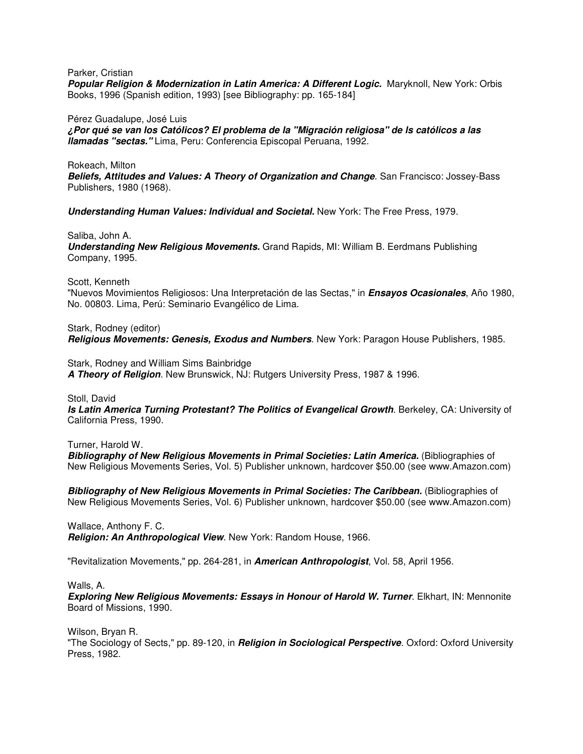Parker, Cristian

**Popular Religion & Modernization in Latin America: A Different Logic.** Maryknoll, New York: Orbis Books, 1996 (Spanish edition, 1993) [see Bibliography: pp. 165-184]

Pérez Guadalupe, José Luis

**¿Por qué se van los Católicos? El problema de la "Migración religiosa" de ls católicos a las llamadas "sectas."** Lima, Peru: Conferencia Episcopal Peruana, 1992.

Rokeach, Milton

**Beliefs, Attitudes and Values: A Theory of Organization and Change**. San Francisco: Jossey-Bass Publishers, 1980 (1968).

**Understanding Human Values: Individual and Societal.** New York: The Free Press, 1979.

Saliba, John A.

**Understanding New Religious Movements.** Grand Rapids, MI: William B. Eerdmans Publishing Company, 1995.

Scott, Kenneth

"Nuevos Movimientos Religiosos: Una Interpretación de las Sectas," in **Ensayos Ocasionales**, Año 1980, No. 00803. Lima, Perú: Seminario Evangélico de Lima.

Stark, Rodney (editor) **Religious Movements: Genesis, Exodus and Numbers**. New York: Paragon House Publishers, 1985.

Stark, Rodney and William Sims Bainbridge **A Theory of Religion**. New Brunswick, NJ: Rutgers University Press, 1987 & 1996.

Stoll, David

**Is Latin America Turning Protestant? The Politics of Evangelical Growth**. Berkeley, CA: University of California Press, 1990.

Turner, Harold W.

**Bibliography of New Religious Movements in Primal Societies: Latin America.** (Bibliographies of New Religious Movements Series, Vol. 5) Publisher unknown, hardcover \$50.00 (see www.Amazon.com)

**Bibliography of New Religious Movements in Primal Societies: The Caribbean.** (Bibliographies of New Religious Movements Series, Vol. 6) Publisher unknown, hardcover \$50.00 (see www.Amazon.com)

Wallace, Anthony F. C. **Religion: An Anthropological View**. New York: Random House, 1966.

"Revitalization Movements," pp. 264-281, in **American Anthropologist**, Vol. 58, April 1956.

Walls, A.

**Exploring New Religious Movements: Essays in Honour of Harold W. Turner**. Elkhart, IN: Mennonite Board of Missions, 1990.

Wilson, Bryan R. "The Sociology of Sects," pp. 89-120, in **Religion in Sociological Perspective**. Oxford: Oxford University Press, 1982.